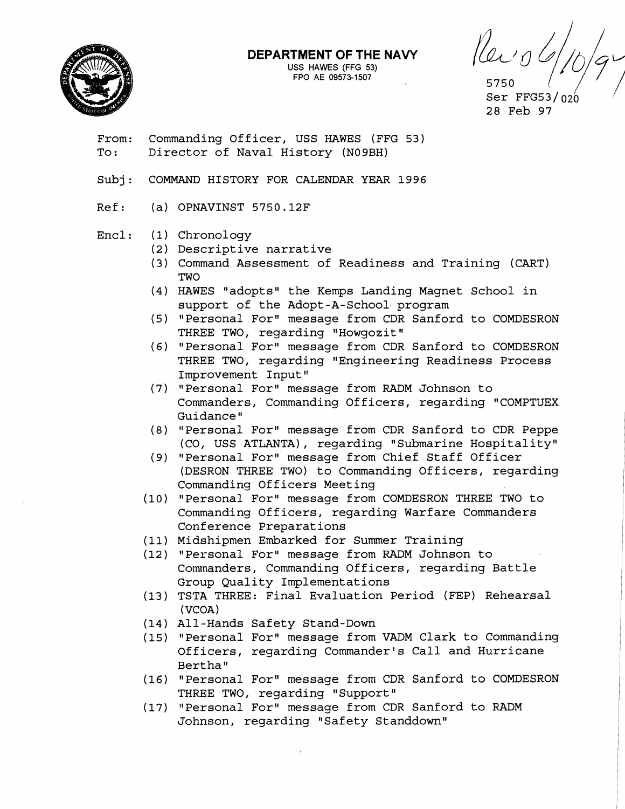

## **DEPARTMENT OF THE NAVY**

**USS HAWES (FFG 53) FPO AE 09573-1507** 

Kein 5750

Ser FFG53/ $020$ 28 Feb 97

From: Commanding Officer, USS HAWES (FFG 53) To: Director of Naval History (N09BH)

- Subj: COMMAND HISTORY FOR CALENDAR YEAR 1996
- Ref: (a) OPNAVINST 5750.12F

## $Enc1:$ Chronology

- (2) Descriptive narrative
- (3) Command Assessment of Readiness and Training (CART) **TWO**
- (4) HAWES "adopts" the Kemps Landing Magnet School in support of the Adopt-A-School program
- (5) "Personal For" message from CDR Sanford to COMDESRON THREE TWO, regarding "Howgozit"
- "Personal Foru message from CDR Sanford to COMDESRON THREE TWO, regarding "Engineering Readiness Process Improvement Input"
- (7) "Personal For" message from RADM Johnson to Commanders, Commanding Officers, regarding "COMPTUEX Guidance
- (8) "Personal For" message from CDR Sanford to CDR Peppe (CO, USS ATLANTA), regarding "Submarine Hospitality"
- (9) "Personal For" message from Chief Staff Officer (DESRON THREE TWO) to Commanding Officers, regarding Commanding Officers Meeting
- (10) "Personal For" message from COMDESRON THREE TWO to Commanding Officers, regarding Warfare Commanders Conference Preparations
- (11) Midshipmen Embarked for Summer Training
- (12) "Personal For" message from RADM Johnson to Commanders, Commanding Officers, regarding Battle Group Quality Implementations
- (13) TSTA THREE: Final Evaluation Period (FEP) Rehearsal (VCOA)
- All-Hands Safety Stand-Down
- (15) "Personal For" message from VADM Clark to Commanding Officers, regarding Commander's Call and Hurricane Bertha"
- (16) "Personal For" message from CDR Sanford to COMDESRON THREE TWO, regarding "Support"
- (17) "Personal For" message from CDR Sanford to RADM Johnson, regarding "Safety Standdown"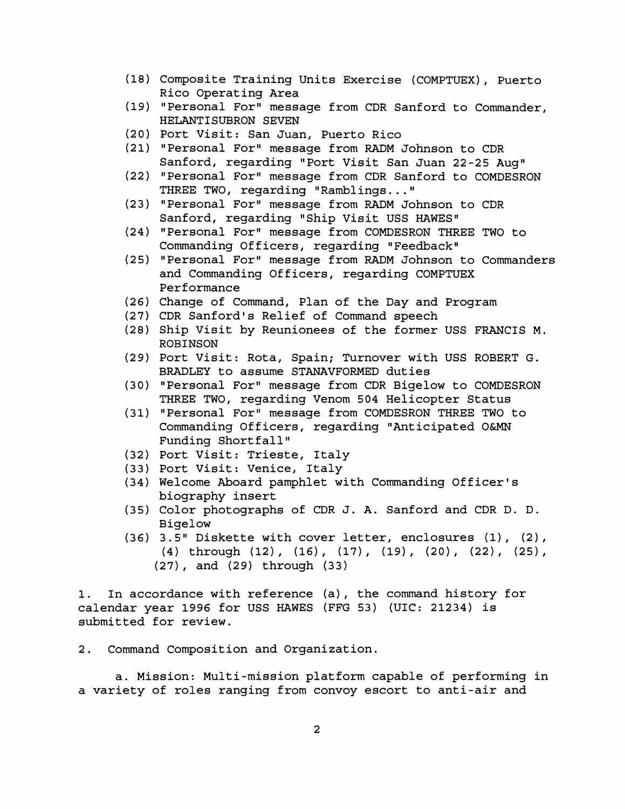- (18) Composite Training Units Exercise (COMPTUEX) , Puerto Rico Operating Area
- (19) "Personal For" message from CDR Sanford to Commander, HELANTISUBRON SEVEN
- (20) Port Visit: San Juan, Puerto Rico
- (21) "Personal For" message from RADM Johnson to CDR Sanford, regarding "Port Visit San Juan 22-25 Aug"
- (22) "Personal For" message from CDR Sanford to COMDESRON THREE TWO, regarding "Ramblings..."<br>(23) "Personal For" message from RADM Johnson to CDR
- Sanford, regarding "Ship Visit USS HAWES"
- (24) "Personal For" message from COMDESRON THREE TWO to Commanding Officers, regarding "Feedback"
- (25) "Personal For" message from RADM Johnson to Commanders and Commanding Officers, regarding COMPTUEX Performance
- (26) Change of Command, Plan of the Day and Program
- (27) CDR Sanford's Relief of Command speech
- (28) Ship Visit by Reunionees of the former USS FRANCIS M. ROBINSON
- (29) Port Visit: Rota, Spain; Turnover with USS ROBERT G. BRADLEY to assume STANAVFORMED duties
- (30) "Personal Foru message from CDR Bigelow to COMDESRON THREE TWO, regarding Venom 504 Helicopter Status
- (31) "Personal For" message from COMDESRON THREE TWO to Commanding Officers, regarding "Anticipated O&MN Funding Shortfall"
- (32) Port Visit: Trieste, Italy
- (33) Port Visit: Venice, Italy
- (34) Welcome Aboard pamphlet with Commanding Officer's biography insert
- (35) Color photographs of CDR J. A. Sanford and CDR D. D. Bigelow
- (36) 3.5" Diskette with cover letter, enclosures (1), (2), (4) through (12), (16), (17), (19), (20), (22), (25), (27), and (29) through (33)

1. In accordance with reference (a), the command history for calendar year 1996 for USS HAWES (FFG 53) (UIC: 21234) is submitted for review.

2. Command Composition and Organization.

a. Mission: Multi-mission platform capable of performing in a variety of roles ranging from convoy escort to anti-air and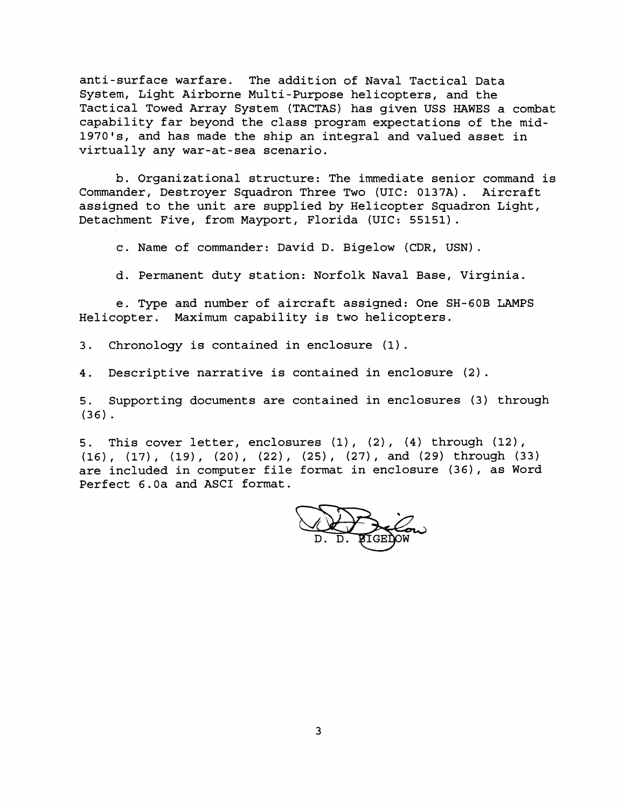anti-surface warfare. The addition of Naval Tactical Data System, Light Airborne Multi-Purpose helicopters, and the Tactical Towed Array System (TACTAS) has given USS HAWES a combat capability far beyond the class program expectations of the mid-1970's, and has made the ship an integral and valued asset in virtually any war-at-sea scenario.

b. Organizational structure: The immediate senior command is Commander, Destroyer Squadron Three Two (UIC: 0137A). Aircraft assigned to the unit are supplied by Helicopter Squadron Light, Detachment Five, from Mayport, Florida (UIC: 55151).

c. Name of commander: David D. Bigelow (CDR, USN).

d. Permanent duty station: Norfolk Naval Base, Virginia.

e. Type and number of aircraft assigned: One SH-60B LAMPS Helicopter. Maximum capability is two helicopters.

3. Chronology is contained in enclosure (1).

4. Descriptive narrative is contained in enclosure (2).

5. Supporting documents are contained in enclosures (3) through (36).

5. This cover letter, enclosures (1), (2), (4) through (12),<br>(16), (17), (19), (20), (22), (25), (27), and (29) through (33) are included in computer file format in enclosure (36), as Word Perfect 6.0a and ASCI format.

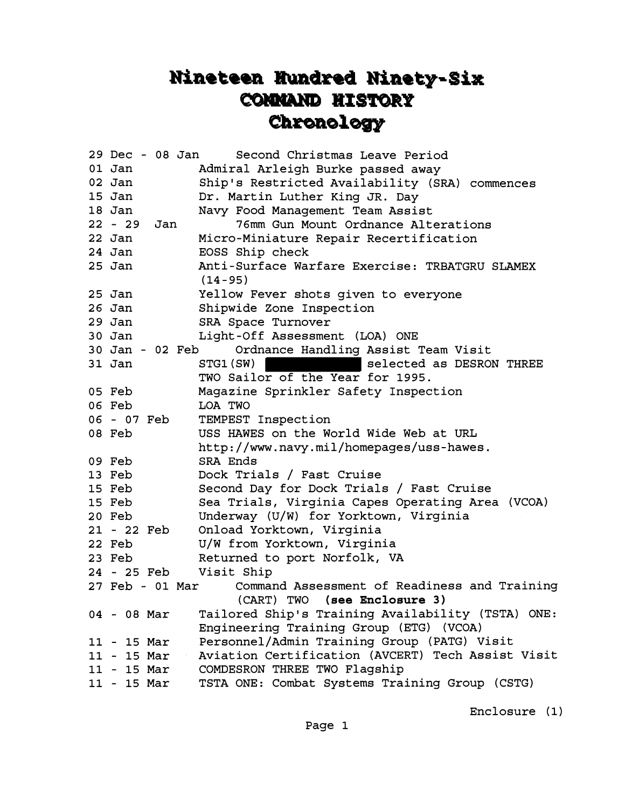## Nineteen Hundred Ninety-Six **COMMAND HISTORY** Chronology

| 29 Dec - 08 Jan  | Second Christmas Leave Period                                                                |
|------------------|----------------------------------------------------------------------------------------------|
| $01$ Jan         | Admiral Arleigh Burke passed away                                                            |
| $02$ Jan         | Ship's Restricted Availability (SRA) commences                                               |
| 15 Jan           | Dr. Martin Luther King JR. Day                                                               |
| 18 Jan           | Navy Food Management Team Assist                                                             |
| $22 - 29$<br>Jan | 76mm Gun Mount Ordnance Alterations                                                          |
| $22$ Jan         | Micro-Miniature Repair Recertification                                                       |
| 24 Jan           | EOSS Ship check                                                                              |
| $25$ Jan         | Anti-Surface Warfare Exercise: TRBATGRU SLAMEX<br>$(14 - 95)$                                |
| $25$ Jan         | Yellow Fever shots given to everyone                                                         |
| $26$ Jan         | Shipwide Zone Inspection                                                                     |
| $29$ Jan         | SRA Space Turnover                                                                           |
| $30$ Jan         | Light-Off Assessment (LOA) ONE                                                               |
| 30 Jan - 02 Feb  | Ordnance Handling Assist Team Visit                                                          |
| 31 Jan           | selected as DESRON THREE<br>STG1(SW)                                                         |
|                  | TWO Sailor of the Year for 1995.                                                             |
| 05 Feb           | Magazine Sprinkler Safety Inspection                                                         |
| 06 Feb           | LOA TWO                                                                                      |
| 06 - 07 Feb      | TEMPEST Inspection                                                                           |
| 08 Feb           | USS HAWES on the World Wide Web at URL                                                       |
|                  | http://www.navy.mil/homepages/uss-hawes.                                                     |
| 09 Feb           | SRA Ends                                                                                     |
| 13 Feb           | Dock Trials / Fast Cruise                                                                    |
| 15 Feb           | Second Day for Dock Trials / Fast Cruise                                                     |
| 15 Feb           | Sea Trials, Virginia Capes Operating Area (VCOA)                                             |
| 20 Feb           | Underway (U/W) for Yorktown, Virginia                                                        |
| 21 - 22 Feb      | Onload Yorktown, Virginia                                                                    |
| 22 Feb           | U/W from Yorktown, Virginia                                                                  |
| 23 Feb           | Returned to port Norfolk, VA                                                                 |
| 24 - 25 Feb      | Visit Ship                                                                                   |
| 27 Feb - 01 Mar  | Command Assessment of Readiness and Training                                                 |
|                  | (CART) TWO<br>(see Enclosure 3)                                                              |
| $04 - 08$ Mar    | Tailored Ship's Training Availability (TSTA) ONE:<br>Engineering Training Group (ETG) (VCOA) |
| $11 - 15$ Mar    | Personnel/Admin Training Group (PATG) Visit                                                  |
| $11 - 15$ Mar    | Aviation Certification (AVCERT) Tech Assist Visit                                            |
| $11 - 15$ Mar    | COMDESRON THREE TWO Flagship                                                                 |
| $11 - 15$ Mar    | TSTA ONE: Combat Systems Training Group (CSTG)                                               |
|                  |                                                                                              |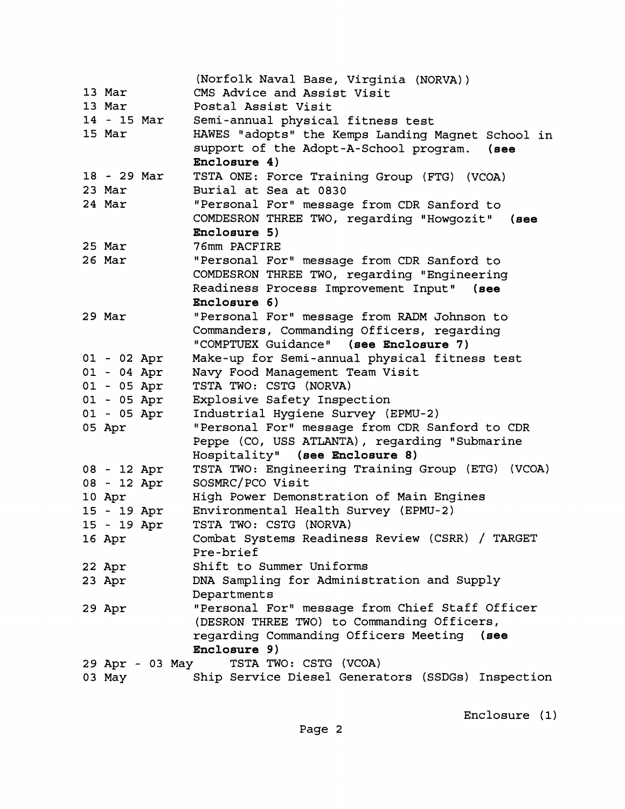|               |                 | (Norfolk Naval Base, Virginia (NORVA))            |
|---------------|-----------------|---------------------------------------------------|
| 13 Mar        |                 | CMS Advice and Assist Visit                       |
| 13 Mar        |                 | Postal Assist Visit                               |
| 14 - 15 Mar   |                 | Semi-annual physical fitness test                 |
| 15 Mar        |                 | HAWES "adopts" the Kemps Landing Magnet School in |
|               |                 | support of the Adopt-A-School program.<br>(see    |
|               |                 | Enclosure 4)                                      |
| 18 - 29 Mar   |                 | TSTA ONE: Force Training Group (FTG) (VCOA)       |
| 23 Mar        |                 | Burial at Sea at 0830                             |
| 24 Mar        |                 | "Personal For" message from CDR Sanford to        |
|               |                 | COMDESRON THREE TWO, regarding "Howgozit" (see    |
|               |                 | Enclosure 5)                                      |
| 25 Mar        |                 | 76mm PACFIRE                                      |
| 26 Mar        |                 | "Personal For" message from CDR Sanford to        |
|               |                 | COMDESRON THREE TWO, regarding "Engineering       |
|               |                 | Readiness Process Improvement Input"<br>$($ see   |
|               |                 | Enclosure 6)                                      |
| 29 Mar        |                 | "Personal For" message from RADM Johnson to       |
|               |                 | Commanders, Commanding Officers, regarding        |
|               |                 | "COMPTUEX Guidance" (see Enclosure 7)             |
| $01 - 02$ Apr |                 | Make-up for Semi-annual physical fitness test     |
| $01 - 04$ Apr |                 | Navy Food Management Team Visit                   |
| $01 - 05$ Apr |                 | TSTA TWO: CSTG (NORVA)                            |
| $01 - 05$ Apr |                 | Explosive Safety Inspection                       |
| $01 - 05$ Apr |                 | Industrial Hygiene Survey (EPMU-2)                |
| 05 Apr        |                 | "Personal For" message from CDR Sanford to CDR    |
|               |                 | Peppe (CO, USS ATLANTA), regarding "Submarine     |
|               |                 | Hospitality" (see Enclosure 8)                    |
| 08 - 12 Apr   |                 | TSTA TWO: Engineering Training Group (ETG) (VCOA) |
| 08 - 12 Apr   |                 | SOSMRC/PCO Visit                                  |
| 10 Apr        |                 | High Power Demonstration of Main Engines          |
| 15 - 19 Apr   |                 | Environmental Health Survey (EPMU-2)              |
| 15 - 19 Apr   |                 | TSTA TWO: CSTG (NORVA)                            |
| 16 Apr        |                 | Combat Systems Readiness Review (CSRR) / TARGET   |
|               |                 | Pre-brief                                         |
| 22 Apr        |                 | Shift to Summer Uniforms                          |
| 23 Apr        |                 | DNA Sampling for Administration and Supply        |
|               |                 | Departments                                       |
| 29 Apr        |                 | "Personal For" message from Chief Staff Officer   |
|               |                 | (DESRON THREE TWO) to Commanding Officers,        |
|               |                 | regarding Commanding Officers Meeting (see        |
|               |                 | Enclosure 9)                                      |
|               | 29 Apr - 03 May | TSTA TWO: CSTG (VCOA)                             |
| 03 May        |                 | Ship Service Diesel Generators (SSDGs) Inspection |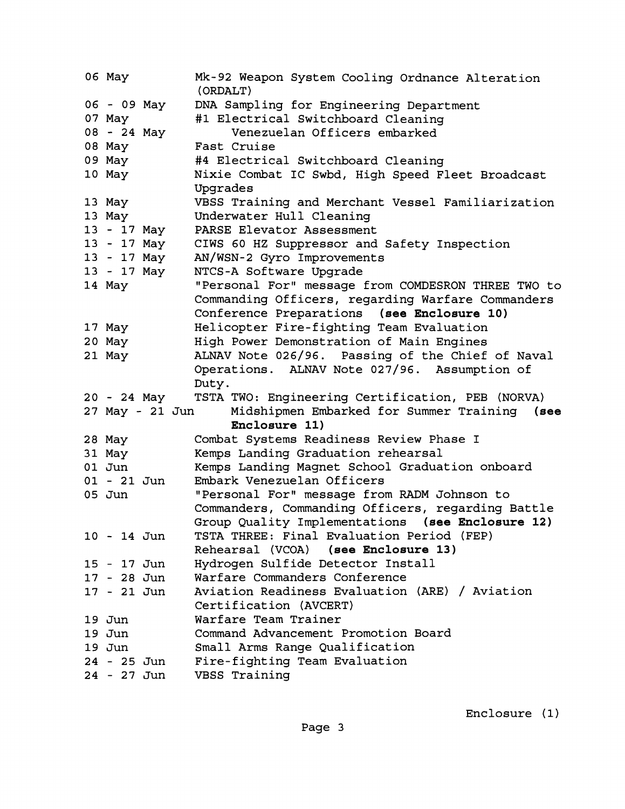| 06 May                     | Mk-92 Weapon System Cooling Ordnance Alteration<br>(ORDALT) |
|----------------------------|-------------------------------------------------------------|
| 06 - 09 May                | DNA Sampling for Engineering Department                     |
| 07 May                     | #1 Electrical Switchboard Cleaning                          |
| 08 - 24 May                | Venezuelan Officers embarked                                |
| 08 May                     | Fast Cruise                                                 |
| 09 May                     | #4 Electrical Switchboard Cleaning                          |
| 10 May                     | Nixie Combat IC Swbd, High Speed Fleet Broadcast            |
|                            | Upgrades                                                    |
| 13 May                     | VBSS Training and Merchant Vessel Familiarization           |
| 13 May                     | Underwater Hull Cleaning                                    |
| 13 - 17 May                | PARSE Elevator Assessment                                   |
| 13 - 17 May                | CIWS 60 HZ Suppressor and Safety Inspection                 |
| 13 - 17 May                | AN/WSN-2 Gyro Improvements                                  |
| 13 - 17 May                | NTCS-A Software Upgrade                                     |
| 14 May                     | "Personal For" message from COMDESRON THREE TWO to          |
|                            | Commanding Officers, regarding Warfare Commanders           |
|                            | Conference Preparations (see Enclosure 10)                  |
| 17 May                     | Helicopter Fire-fighting Team Evaluation                    |
| 20 May                     | High Power Demonstration of Main Engines                    |
| 21 May                     | ALNAV Note 026/96. Passing of the Chief of Naval            |
|                            | Operations. ALNAV Note 027/96. Assumption of                |
|                            |                                                             |
|                            | Duty.                                                       |
| 20 - 24 May                | TSTA TWO: Engineering Certification, PEB (NORVA)            |
| 27 May - 21 Jun            | Midshipmen Embarked for Summer Training (see                |
|                            | Enclosure 11)                                               |
| 28 May                     | Combat Systems Readiness Review Phase I                     |
| 31 May                     | Kemps Landing Graduation rehearsal                          |
| $01$ Jun                   | Kemps Landing Magnet School Graduation onboard              |
| $01 - 21$ Jun              | Embark Venezuelan Officers                                  |
| 05 Jun                     | "Personal For" message from RADM Johnson to                 |
|                            | Commanders, Commanding Officers, regarding Battle           |
|                            | Group Quality Implementations (see Enclosure 12)            |
| 10 - 14 Jun                | TSTA THREE: Final Evaluation Period (FEP)                   |
|                            | Rehearsal (VCOA) (see Enclosure 13)                         |
| 15 - 17 Jun                | Hydrogen Sulfide Detector Install                           |
| 17 - 28 Jun                | Warfare Commanders Conference                               |
| $17 - 21$ Jun              | Aviation Readiness Evaluation (ARE) / Aviation              |
|                            | Certification (AVCERT)                                      |
| $19$ Jun                   | Warfare Team Trainer                                        |
| $19$ Jun                   | Command Advancement Promotion Board                         |
| $19$ Jun                   | Small Arms Range Qualification                              |
| 24 - 25 Jun<br>24 - 27 Jun | Fire-fighting Team Evaluation<br>VBSS Training              |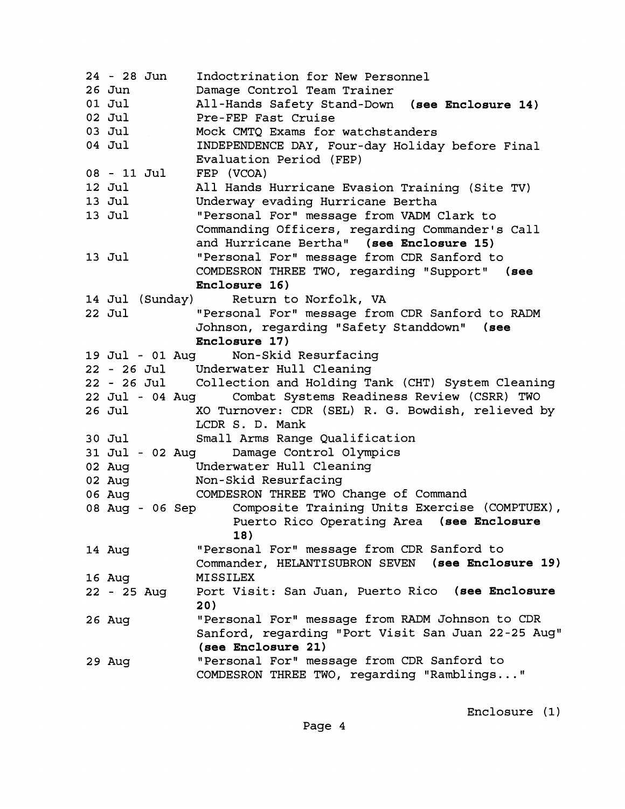| 24 - 28 Jun     | Indoctrination for New Personnel                                                           |
|-----------------|--------------------------------------------------------------------------------------------|
| 26 Jun          | Damage Control Team Trainer                                                                |
| 01 Jul          | All-Hands Safety Stand-Down (see Enclosure 14)                                             |
| 02 Jul          | Pre-FEP Fast Cruise                                                                        |
| 03 Jul          | Mock CMTQ Exams for watchstanders                                                          |
| 04 Jul          | INDEPENDENCE DAY, Four-day Holiday before Final                                            |
|                 | Evaluation Period (FEP)                                                                    |
| 08 - 11 Jul     | FEP (VCOA)                                                                                 |
| 12 Jul          | All Hands Hurricane Evasion Training (Site TV)                                             |
| 13 Jul          | Underway evading Hurricane Bertha                                                          |
| 13 Jul          | "Personal For" message from VADM Clark to                                                  |
|                 | Commanding Officers, regarding Commander's Call                                            |
|                 | and Hurricane Bertha" (see Enclosure 15)                                                   |
| 13 Jul          | "Personal For" message from CDR Sanford to                                                 |
|                 | COMDESRON THREE TWO, regarding "Support" (see                                              |
|                 | Enclosure 16)                                                                              |
| 14 Jul (Sunday) | Return to Norfolk, VA                                                                      |
| 22 Jul          | "Personal For" message from CDR Sanford to RADM                                            |
|                 | Johnson, regarding "Safety Standdown" (see                                                 |
|                 | Enclosure 17)                                                                              |
|                 | 19 Jul - 01 Aug Non-Skid Resurfacing                                                       |
|                 | 22 - 26 Jul Underwater Hull Cleaning                                                       |
|                 | 22 - 26 Jul Collection and Holding Tank (CHT) System Cleaning                              |
| 22 Jul - 04 Aug | Combat Systems Readiness Review (CSRR) TWO                                                 |
| 26 Jul          | XO Turnover: CDR (SEL) R. G. Bowdish, relieved by                                          |
|                 | LCDR S. D. Mank                                                                            |
| 30 Jul          | Small Arms Range Qualification                                                             |
|                 | 31 Jul - 02 Aug Damage Control Olympics                                                    |
|                 | Underwater Hull Cleaning                                                                   |
| 02 Aug          |                                                                                            |
| 02 Aug          | Non-Skid Resurfacing                                                                       |
| 06 Aug          | COMDESRON THREE TWO Change of Command                                                      |
| 08 Aug - 06 Sep | Composite Training Units Exercise (COMPTUEX),<br>Puerto Rico Operating Area (see Enclosure |
|                 |                                                                                            |
|                 | 18)                                                                                        |
| 14 Aug          | "Personal For" message from CDR Sanford to                                                 |
|                 | Commander, HELANTISUBRON SEVEN (see Enclosure 19)                                          |
| 16 Aug          | <b>MISSILEX</b>                                                                            |
| 22 - 25 Aug     | Port Visit: San Juan, Puerto Rico (see Enclosure<br>20)                                    |
| 26 Aug          | "Personal For" message from RADM Johnson to CDR                                            |
|                 | Sanford, regarding "Port Visit San Juan 22-25 Aug"                                         |
|                 | (see Enclosure 21)                                                                         |
| 29 Aug          | "Personal For" message from CDR Sanford to                                                 |
|                 | COMDESRON THREE TWO, regarding "Ramblings"                                                 |
|                 |                                                                                            |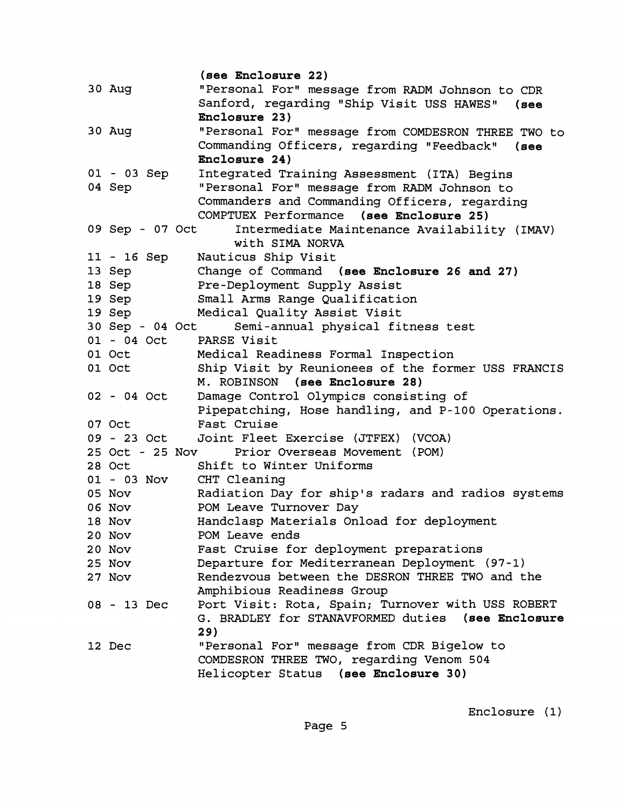**(see Enclosure 22)**  30 Aug "Personal For" message from RADM Johnson to CDR Sanford, regarding "Ship Visit USS HAWES" (see **Enclosure** 23) 30 Aug "Personal Forw message from COMDESRON THREE TWO to Commanding Officers, regarding "Feedback" (see **Enclosure 24)**  01 - 03 Sep Integrated Training Assessment (ITA) Begins<br>04 Sep "Personal For" message from RADM Johnson to "Personal For" message from RADM Johnson to Commanders and Commanding Officers, regarding COMPTUEX Performance **(see Enclosure 25)**  09 Sep - 07 Oct Intermediate Maintenance Availability (IMAV) with SIMA NORVA 11 - 16 Sep Nauticus Ship Visit 13 Sep Change of Command **(see Enclosure** 26 **and 27)**  18 Sep Pre-Deployment Supply Assist 19 Sep Small Arms Range Qualification 19 Sep Medical Quality Assist Visit<br>30 Sep - 04 Oct Semi-annual physical fi Semi-annual physical fitness test 01 - 04 Oct PARSE Visit 01 Oct Medical Readiness Formal Inspection 01 Oct Ship Visit by Reunionees of the former USS FRANCIS M. ROBINSON **(see Enclosure** 28) 02 - 04 Oct Damage Control Olympics consisting of Pipepatching, Hose handling, and P-100 Operations. 07 Oct Fast Cruise 09 - 23 Oct Joint Fleet Exercise (JTFEX) (VCOA) 25 Oct - 25 Nov Prior Overseas Movement (POM) 28 Oct Shift to Winter Uniforms 01 - 03 Nov CHT Cleaning 05 Nov Radiation Day for ship's radars and radios systems 06 Nov **POM Leave Turnover Day** 18 Nov Handclasp Materials Onload for deployment 20 Nov POM Leave ends 20 Nov Fast Cruise for deployment preparations 25 Nov Departure for Mediterranean Deployment (97-1) 27 Nov Rendezvous between the DESRON THREE TWO and the Amphibious Readiness Group 08 - 13 Dec Port Visit: Rota, Spain; Turnover with USS ROBERT<br>G. BRADLEY for STANAVFORMED duties (see Enclosure G. BRADLEY for STANAVFORMED duties **2 9**  12 Dec "Personal For" message from CDR Bigelow to COMDESRON THREE TWO, regarding Venom 504 Helicopter Status **(see Enclosure** 30)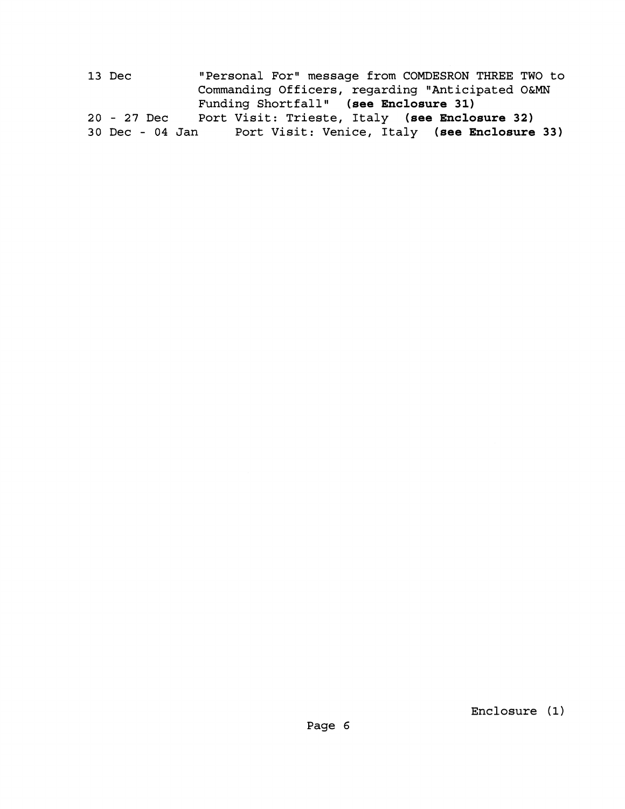13 Dec "Personal For" message from COMDESRON THREE TWO to Commanding Officers, regarding "Anticipated 0&MN Funding Shortfall" (see Enclosure 31) **20** - **27** Dec Port Visit: Trieste, Italy **(see Enclosure 32)**  Port Visit: Venice, Italy **(see Enclosure 33)**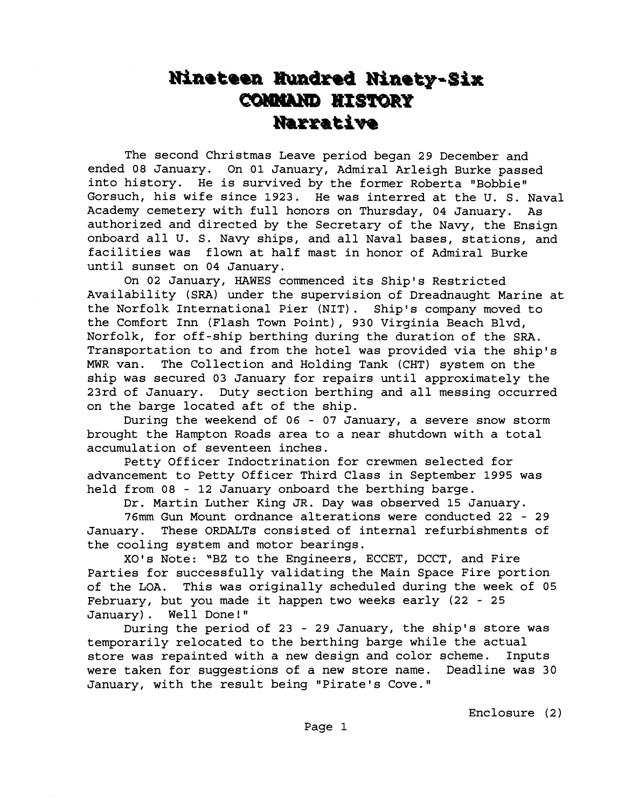## Nineteen Hundred Ninety-Six **COMMAND HISTORY** Narrative

The second Christmas Leave period began 29 December and ended 08 January. On 01 January, Admiral Arleigh Burke passed into history. He is survived by the former Roberta "Bobbie" Gorsuch, his wife since 1923. He was interred at the U. S. Naval Academy cemetery with full honors on Thursday, 04 January. As authorized and directed by the Secretary of the Navy, the Ensign onboard all U. S. Navy ships, and all Naval bases, stations, and facilities was flown at half mast in honor of Admiral Burke until sunset on 04 January.

On 02 January, HAWES commenced its Ship's Restricted Availability (SRA) under the supervision of Dreadnaught Marine at the Norfolk International Pier (NIT). Ship's company moved to the Comfort Inn (Flash Town Point), 930 Virginia Beach Blvd, Norfolk, for off-ship berthing during the duration of the SRA. Transportation to and from the hotel was provided via the ship's MWR van. The Collection and Holding Tank (CHT) system on the ship was secured 03 January for repairs until approximately the 23rd of January. Duty section berthing and all messing occurred on the barge located aft of the ship.

During the weekend of 06 - 07 January, a severe snow storm brought the Hampton Roads area to a near shutdown with a total accumulation of seventeen inches.

Petty Officer Indoctrination for crewmen selected for advancement to Petty Officer Third Class in September 1995 was held from 08 - 12 January onboard the berthing barge.

Dr. Martin Luther King JR. Day was observed 15 January.

76mm Gun Mount ordnance alterations were conducted 22 - 29 January. These ORDALTs consisted of internal refurbishments of the cooling system and motor bearings.

XO's Note: "BZ to the Engineers, ECCET, DCCT, and Fire Parties for successfully validating the Main Space Fire portion of the LOA. This was originally scheduled during the week of 05 February, but you made it happen two weeks early (22 - 25 January). Well Done!"

During the period of 23 - 29 January, the ship's store was temporarily relocated to the berthing barge while the actual store was repainted with a new design and color scheme. Inputs were taken for suggestions of a new store name. Deadline was 30 January, with the result being "Pirate's Cove."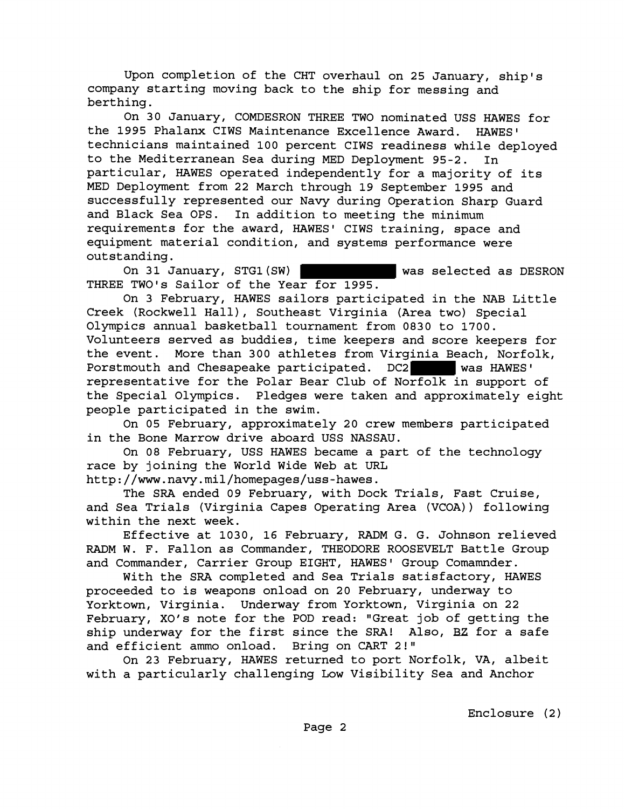Upon completion of the CHT overhaul on 25 January, ship's company starting moving back to the ship for messing and berthing.

On 30 January, COMDESRON THREE TWO nominated USS HAWES for the 1995 Phalanx CIWS Maintenance Excellence Award. HAWES' technicians maintained 100 percent CIWS readiness while deployed to the Mediterranean Sea during MED Deployment 95-2. In particular, HAWES operated independently for a majority of its MED Deployment from 22 March through 19 September 1995 and successfully represented our Navy during Operation Sharp Guard and Black Sea OPS. In addition to meeting the minimum requirements for the award, HAWES' CIWS training, space and equipment material condition, and systems performance were outstanding.

On 31 January, STGl(SW) was selected as DESRON THREE TWO'S Sailor of the Year for 1995.

On 3 February, HAWES sailors participated in the NAB Little Creek (Rockwell Hall), Southeast Virginia (Area two) Special Olympics annual basketball tournament from 0830 to 1700. Volunteers served as buddies, time keepers and score keepers for the event. More than 300 athletes from Virginia Beach, Norfolk, Porstmouth and Chesapeake participated. DC2 was HAWES' representative for the Polar Bear Club of Norfolk in support of the Special Olympics. Pledges were taken and approximately eight people participated in the swim.

On 05 February, approximately 20 crew members participated in the Bone Marrow drive aboard USS NASSAU.

On 08 February, USS HAWES became a part of the technology race by joining the World Wide Web at URL

http://www.navy.mil/homepages/uss-hawes.

The SRA ended 09 February, with Dock Trials, Fast Cruise, and Sea Trials (Virginia Capes Operating Area (VCOA)) following within the next week.

Effective at 1030, 16 February, RADM G. G. Johnson relieved RADM W. F. Fallon as Commander, THEODORE ROOSEVELT Battle Group and Commander, Carrier Group EIGHT, HAWES' Group Comamnder.

With the SRA completed and Sea Trials satisfactory, HAWES proceeded to is weapons onload on 20 February, underway to Yorktown, Virginia. Underway from Yorktown, Virginia on 22 February, XO's note for the POD read: "Great job of getting the ship underway for the first since the SRA! Also, **BZ** for a safe and efficient ammo onload. Bring on CART 2!"

On 23 February, HAWES returned to port Norfolk, VA, albeit with a particularly challenging Low Visibility Sea and Anchor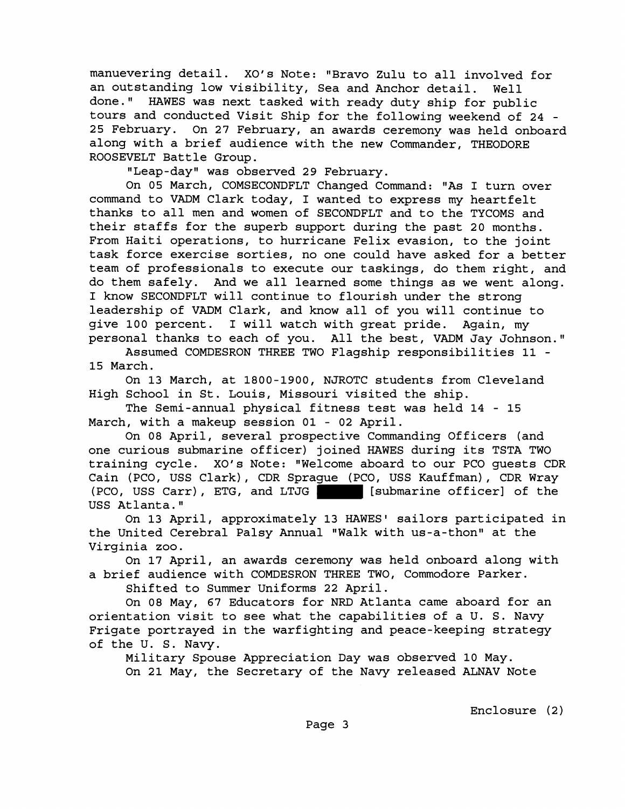manuevering detail. XO's Note: "Bravo Zulu to all involved for an outstanding low visibility, Sea and Anchor detail. Well done." HAWES was next tasked with ready duty ship for public tours and conducted Visit Ship for the following weekend of **24** - **25** February. On **27** February, an awards ceremony was held onboard along with a brief audience with the new Commander, THEODORE ROOSEVELT Battle Group.

"Leap-day" was observed 29 February.

On **05** March, COMSECONDFLT Changed Command: "As I turn over command to VADM Clark today, I wanted to express my heartfelt thanks to all men and women of SECONDFLT and to the TYCOMS and their staffs for the superb support during the past **20** months. From Haiti operations, to hurricane Felix evasion, to the joint task force exercise sorties, no one could have asked for a better team of professionals to execute our taskings, do them right, and do them safely. And we all learned some things as we went along. I know SECONDFLT will continue to flourish under the strong leadership of VADM Clark, and know all of you will continue to give **100** percent. I will watch with great pride. Again, my personal thanks to each of you. All the best, VADM Jay Johnson."

Assumed COMDESRON THREE TWO Flagship responsibilities **11** - **15** March.

On **13** March, at **1800-1900,** NJROTC students from Cleveland High School in St. Louis, Missouri visited the ship.

The Semi-annual physical fitness test was held **14** - **15**  March, with a makeup session **01** - **02** April.

On **08** April, several prospective Commanding Officers (and one curious submarine officer) joined HAWES during its TSTA TWO training cycle. XO's Note: "Welcome aboard to our PCO quests CDR Cain (PCO, USS Clark), CDR Sprague (PCO, USS Kauffman), CDR Wray<br>(PCO, USS Carr), ETG, and LTJG [[Submarine officer] of the (Submarine officer) of the USS Atlanta."

On 13 April, approximately 13 HAWES' sailors participated in the United Cerebral Palsy Annual "Walk with us-a-thon" at the Virginia zoo.

On **17** April, an awards ceremony was held onboard along with a brief audience with COMDESRON THREE TWO, Commodore Parker.

Shifted to Summer Uniforms **22** April.

On **08** May, **67** Educators for NRD Atlanta came aboard for an orientation visit to see what the capabilities of a U. S. Navy Frigate portrayed in the warfighting and peace-keeping strategy of the U. S. Navy.

Military Spouse Appreciation Day was observed **10** May. On **21** May, the Secretary of the Navy released ALNAV Note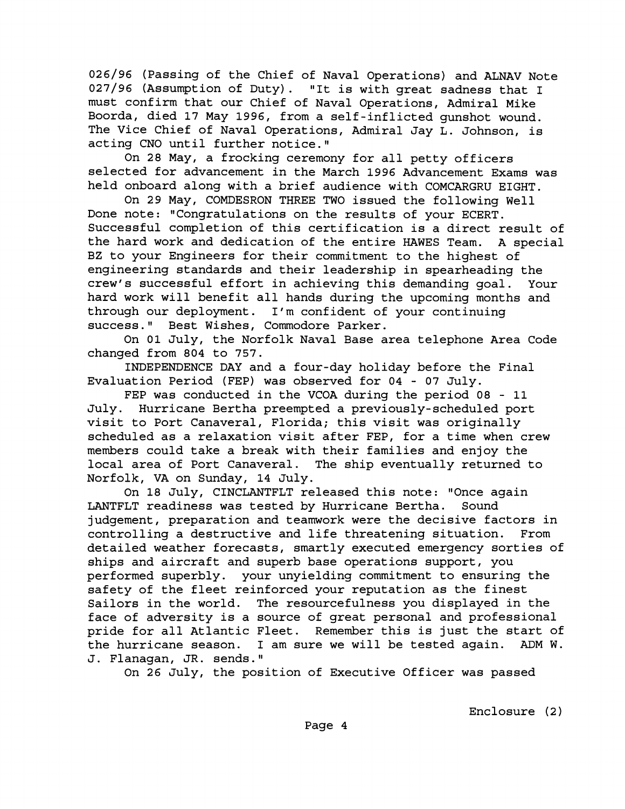**026/96** (Passing of the Chief of Naval Operations) and ALNAV Note **027/96** (Assumption of Duty). "It is with great sadness that I must confirm that our Chief of Naval Operations, Admiral Mike Boorda, died **17** May **1996,** from a self-inflicted gunshot wound. The Vice Chief of Naval Operations, Admiral Jay L. Johnson, is acting CNO until further notice."

On **28** May, a frocking ceremony for all petty officers selected for advancement in the March **1996** Advancement Exams was held onboard along with a brief audience with COMCARGRU EIGHT.

On **29** May, COMDESRON THREE TWO issued the following Well Done note: "Congratulations on the results of your ECERT. Successful completion of this certification is a direct result of the hard work and dedication of the entire HAWES Team. A special BZ to your Engineers for their commitment to the highest of engineering standards and their leadership in spearheading the crew's successful effort in achieving this demanding goal. Your hard work will benefit all hands during the upcoming months and through our deployment. I'm confident of your continuing success." Best Wishes, Commodore Parker.

On **01** July, the Norfolk Naval Base area telephone Area Code changed from **804** to **757.** 

INDEPENDENCE DAY and a four-day holiday before the Final Evaluation Period (FEP) was observed for **04** - **07** July.

FEP was conducted in the VCOA during the period **08** - **11**  July. Hurricane Bertha preempted a previously-scheduled port visit to Port Canaveral, Florida; this visit was originally scheduled as a relaxation visit after FEP, for a time when crew members could take a break with their families and enjoy the local area of Port Canaveral. The ship eventually returned to Norfolk, VA on Sunday, **14** July.

On **18** July, CINCLANTFLT released this note: "Once again LANTFLT readiness was tested by Hurricane Bertha. Sound judgement, preparation and teamwork were the decisive factors in controlling a destructive and life threatening situation. From detailed weather forecasts, smartly executed emergency sorties of ships and aircraft and superb base operations support, you performed superbly. your unyielding commitment to ensuring the safety of the fleet reinforced your reputation as the finest Sailors in the world. The resourcefulness you displayed in the face of adversity is a source of great personal and professional pride for all Atlantic Fleet. Remember this is just the start of the hurricane season. I am sure we will be tested again. **ADM** W. J. Flanagan, JR. sends."

On **26** July, the position of Executive Officer was passed